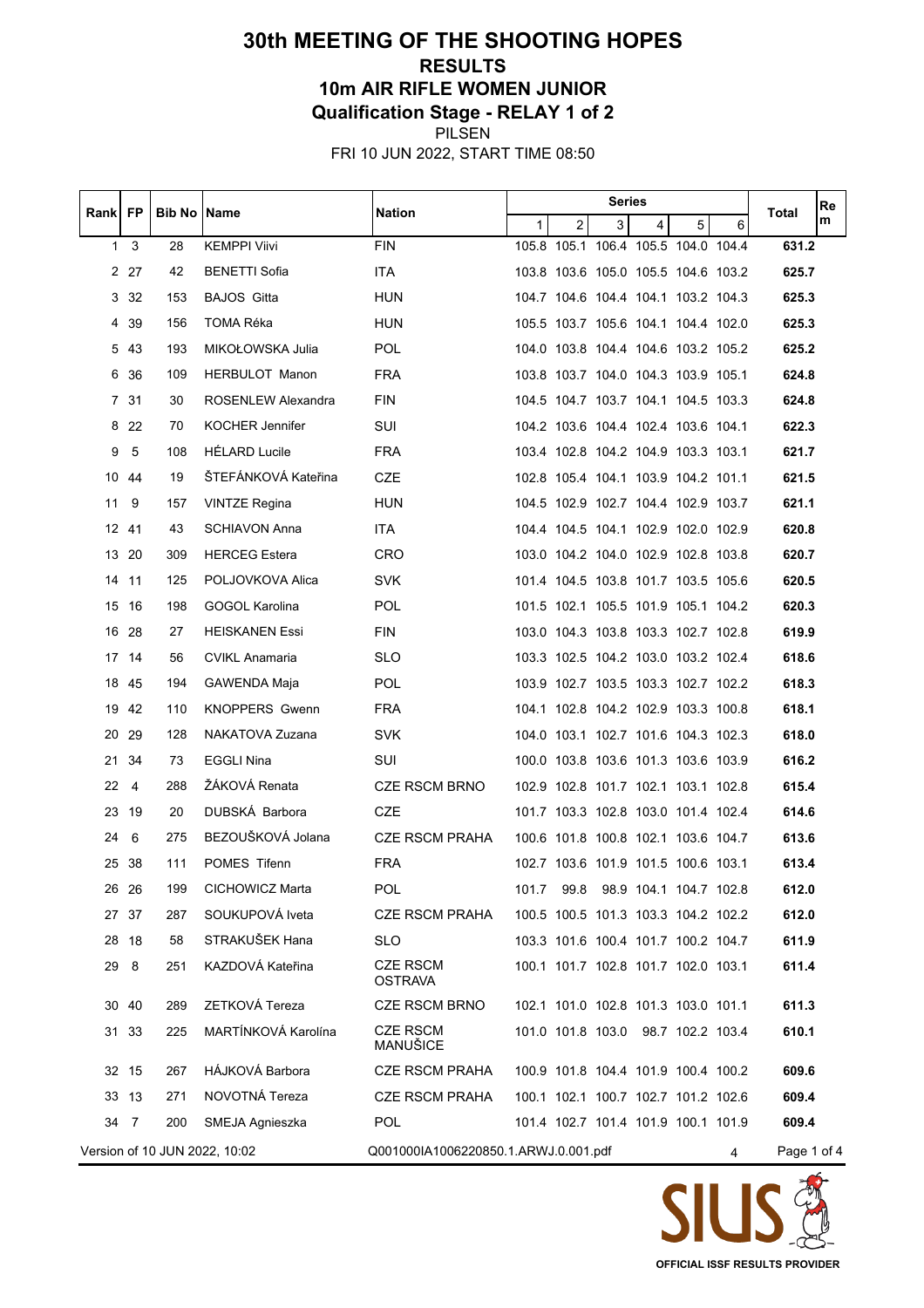## **30th MEETING OF THE SHOOTING HOPES RESULTS 10m AIR RIFLE WOMEN JUNIOR Qualification Stage - RELAY 1 of 2** PILSEN

FRI 10 JUN 2022, START TIME 08:50

| Rank FP                       |       | <b>Bib No IName</b> |                        | <b>Nation</b>                        |              |                                     | Re |   |                        |   |             |
|-------------------------------|-------|---------------------|------------------------|--------------------------------------|--------------|-------------------------------------|----|---|------------------------|---|-------------|
|                               |       |                     |                        |                                      | $\mathbf{1}$ | $\overline{2}$                      | 3  | 4 | 5                      | 6 | Total<br>m  |
| $\mathbf{1}$                  | 3     | 28                  | <b>KEMPPI Viivi</b>    | <b>FIN</b>                           |              | 105.8 105.1 106.4 105.5 104.0 104.4 |    |   |                        |   | 631.2       |
|                               | 2 27  | 42                  | <b>BENETTI Sofia</b>   | ITA                                  |              | 103.8 103.6 105.0 105.5 104.6 103.2 |    |   |                        |   | 625.7       |
|                               | 3 32  | 153                 | <b>BAJOS Gitta</b>     | <b>HUN</b>                           |              | 104.7 104.6 104.4 104.1 103.2 104.3 |    |   |                        |   | 625.3       |
|                               | 4 39  | 156                 | TOMA Réka              | <b>HUN</b>                           |              | 105.5 103.7 105.6 104.1 104.4 102.0 |    |   |                        |   | 625.3       |
|                               | 5 43  | 193                 | MIKOŁOWSKA Julia       | <b>POL</b>                           |              | 104.0 103.8 104.4 104.6 103.2 105.2 |    |   |                        |   | 625.2       |
|                               | 6 36  | 109                 | HERBULOT Manon         | <b>FRA</b>                           |              | 103.8 103.7 104.0 104.3 103.9 105.1 |    |   |                        |   | 624.8       |
|                               | 7 31  | 30                  | ROSENLEW Alexandra     | <b>FIN</b>                           |              | 104.5 104.7 103.7 104.1 104.5 103.3 |    |   |                        |   | 624.8       |
|                               | 8 2 2 | 70                  | <b>KOCHER Jennifer</b> | SUI                                  |              | 104.2 103.6 104.4 102.4 103.6 104.1 |    |   |                        |   | 622.3       |
| 9                             | 5     | 108                 | <b>HÉLARD Lucile</b>   | <b>FRA</b>                           |              | 103.4 102.8 104.2 104.9 103.3 103.1 |    |   |                        |   | 621.7       |
|                               | 10 44 | 19                  | ŠTEFÁNKOVÁ Kateřina    | <b>CZE</b>                           |              | 102.8 105.4 104.1 103.9 104.2 101.1 |    |   |                        |   | 621.5       |
| 11                            | 9     | 157                 | <b>VINTZE Regina</b>   | <b>HUN</b>                           |              | 104.5 102.9 102.7 104.4 102.9 103.7 |    |   |                        |   | 621.1       |
|                               | 12 41 | 43                  | <b>SCHIAVON Anna</b>   | ITA                                  |              | 104.4 104.5 104.1 102.9 102.0 102.9 |    |   |                        |   | 620.8       |
|                               | 13 20 | 309                 | <b>HERCEG Estera</b>   | <b>CRO</b>                           |              | 103.0 104.2 104.0 102.9 102.8 103.8 |    |   |                        |   | 620.7       |
|                               | 14 11 | 125                 | POLJOVKOVA Alica       | <b>SVK</b>                           |              | 101.4 104.5 103.8 101.7 103.5 105.6 |    |   |                        |   | 620.5       |
|                               | 15 16 | 198                 | GOGOL Karolina         | <b>POL</b>                           |              | 101.5 102.1 105.5 101.9 105.1 104.2 |    |   |                        |   | 620.3       |
|                               | 16 28 | 27                  | <b>HEISKANEN Essi</b>  | <b>FIN</b>                           |              | 103.0 104.3 103.8 103.3 102.7 102.8 |    |   |                        |   | 619.9       |
|                               | 17 14 | 56                  | <b>CVIKL Anamaria</b>  | <b>SLO</b>                           |              | 103.3 102.5 104.2 103.0 103.2 102.4 |    |   |                        |   | 618.6       |
|                               | 18 45 | 194                 | GAWENDA Maja           | POL                                  |              | 103.9 102.7 103.5 103.3 102.7 102.2 |    |   |                        |   | 618.3       |
|                               | 19 42 | 110                 | <b>KNOPPERS Gwenn</b>  | <b>FRA</b>                           |              | 104.1 102.8 104.2 102.9 103.3 100.8 |    |   |                        |   | 618.1       |
| 20                            | 29    | 128                 | NAKATOVA Zuzana        | <b>SVK</b>                           |              | 104.0 103.1 102.7 101.6 104.3 102.3 |    |   |                        |   | 618.0       |
|                               | 21 34 | 73                  | <b>EGGLI Nina</b>      | SUI                                  |              | 100.0 103.8 103.6 101.3 103.6 103.9 |    |   |                        |   | 616.2       |
| 22 4                          |       | 288                 | ŽÁKOVÁ Renata          | <b>CZE RSCM BRNO</b>                 |              | 102.9 102.8 101.7 102.1 103.1 102.8 |    |   |                        |   | 615.4       |
|                               | 23 19 | 20                  | DUBSKÁ Barbora         | <b>CZE</b>                           |              | 101.7 103.3 102.8 103.0 101.4 102.4 |    |   |                        |   | 614.6       |
| 24                            | 6     | 275                 | BEZOUŠKOVÁ Jolana      | <b>CZE RSCM PRAHA</b>                |              | 100.6 101.8 100.8 102.1 103.6 104.7 |    |   |                        |   | 613.6       |
|                               | 25 38 | 111                 | POMES Tifenn           | <b>FRA</b>                           |              | 102.7 103.6 101.9 101.5 100.6 103.1 |    |   |                        |   | 613.4       |
|                               | 26 26 | 199                 | CICHOWICZ Marta        | POL                                  | 101.7        | 99.8                                |    |   | 98.9 104.1 104.7 102.8 |   | 612.0       |
|                               | 27 37 | 287                 | SOUKUPOVÁ Iveta        | <b>CZE RSCM PRAHA</b>                |              | 100.5 100.5 101.3 103.3 104.2 102.2 |    |   |                        |   | 612.0       |
|                               | 28 18 | 58                  | STRAKUŠEK Hana         | <b>SLO</b>                           |              | 103.3 101.6 100.4 101.7 100.2 104.7 |    |   |                        |   | 611.9       |
| 29                            | - 8   | 251                 | KAZDOVÁ Kateřina       | <b>CZE RSCM</b><br><b>OSTRAVA</b>    |              | 100.1 101.7 102.8 101.7 102.0 103.1 |    |   |                        |   | 611.4       |
|                               | 30 40 | 289                 | ZETKOVÁ Tereza         | CZE RSCM BRNO                        |              | 102.1 101.0 102.8 101.3 103.0 101.1 |    |   |                        |   | 611.3       |
|                               | 31 33 | 225                 | MARTÍNKOVÁ Karolína    | <b>CZE RSCM</b><br>MANUŠICE          |              | 101.0 101.8 103.0 98.7 102.2 103.4  |    |   |                        |   | 610.1       |
|                               | 32 15 | 267                 | HÁJKOVÁ Barbora        | <b>CZE RSCM PRAHA</b>                |              | 100.9 101.8 104.4 101.9 100.4 100.2 |    |   |                        |   | 609.6       |
|                               | 33 13 | 271                 | NOVOTNÁ Tereza         | <b>CZE RSCM PRAHA</b>                |              | 100.1 102.1 100.7 102.7 101.2 102.6 |    |   |                        |   | 609.4       |
| 34 7                          |       | 200                 | SMEJA Agnieszka        | POL                                  |              | 101.4 102.7 101.4 101.9 100.1 101.9 |    |   |                        |   | 609.4       |
| Version of 10 JUN 2022, 10:02 |       |                     |                        | Q001000IA1006220850.1.ARWJ.0.001.pdf |              |                                     |    |   |                        | 4 | Page 1 of 4 |

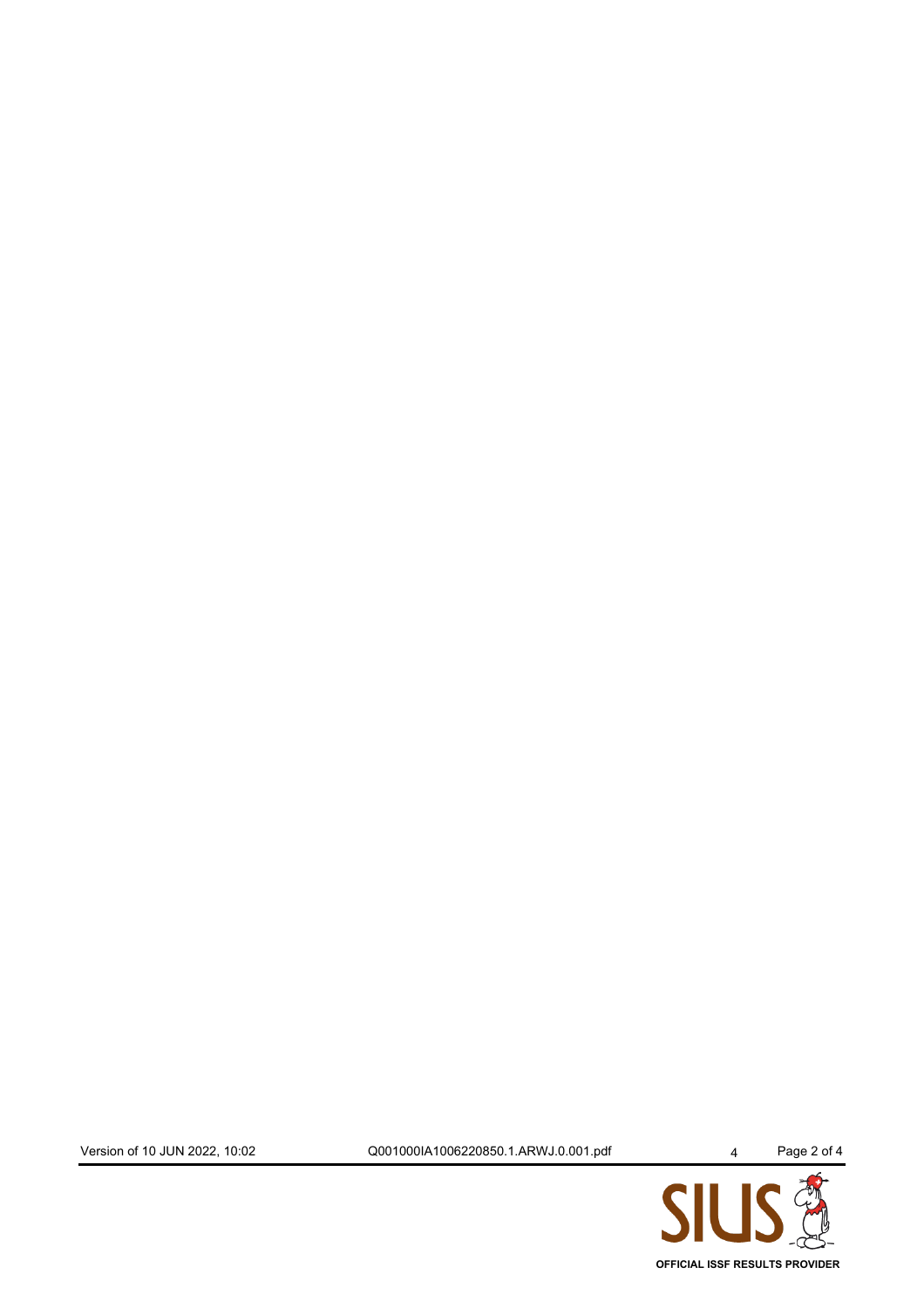

Version of 10 JUN 2022, 10:02 Q001000IA1006220850.1.ARWJ.0.001.pdf 4 Page 2 of 4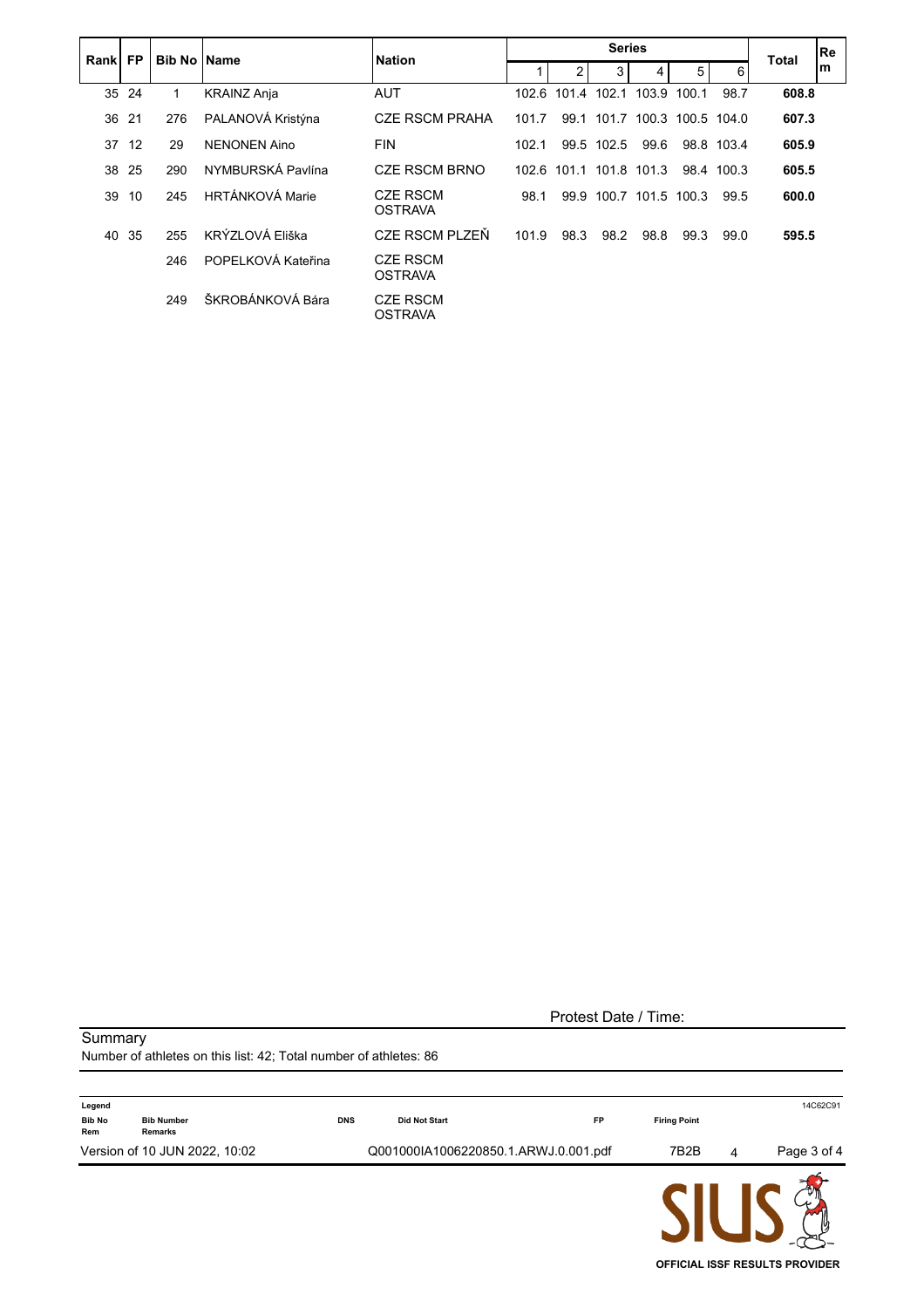| Rank FP |       | <b>Bib No Name</b> |                     | <b>Nation</b>                     |       |                         | <b>Total</b> | Re    |                              |            |       |   |
|---------|-------|--------------------|---------------------|-----------------------------------|-------|-------------------------|--------------|-------|------------------------------|------------|-------|---|
|         |       |                    |                     |                                   |       | 2                       | 3            |       | 5                            | 6          |       | m |
|         | 35 24 | 1                  | <b>KRAINZ Anja</b>  | <b>AUT</b>                        | 102.6 | 101.4                   | 102.1        | 103.9 | 100.1                        | 98.7       | 608.8 |   |
| 36      | 21    | 276                | PALANOVÁ Kristýna   | <b>CZE RSCM PRAHA</b>             | 101.7 |                         |              |       | 99.1 101.7 100.3 100.5 104.0 |            | 607.3 |   |
|         | 37 12 | 29                 | <b>NENONEN Aino</b> | <b>FIN</b>                        | 102.1 |                         | 99.5 102.5   | 99.6  |                              | 98.8 103.4 | 605.9 |   |
| 38      | 25    | 290                | NYMBURSKÁ Pavlína   | CZE RSCM BRNO                     |       | 102.6 101.1 101.8 101.3 |              |       |                              | 98.4 100.3 | 605.5 |   |
| 39      | 10    | 245                | HRTÁNKOVÁ Marie     | <b>CZE RSCM</b><br><b>OSTRAVA</b> | 98.1  |                         |              |       | 99.9 100.7 101.5 100.3       | 99.5       | 600.0 |   |
| 40      | 35    | 255                | KRÝZLOVÁ Eliška     | CZE RSCM PLZEŇ                    | 101.9 | 98.3                    | 98.2         | 98.8  | 99.3                         | 99.0       | 595.5 |   |
|         |       | 246                | POPEL KOVÁ Kateřina | <b>CZE RSCM</b><br><b>OSTRAVA</b> |       |                         |              |       |                              |            |       |   |
|         |       | 249                | ŠKROBÁNKOVÁ Bára    | <b>CZE RSCM</b><br><b>OSTRAVA</b> |       |                         |              |       |                              |            |       |   |

Protest Date / Time:

## **Summary** Number of athletes on this list: 42; Total number of athletes: 86 **Legend** 14C62C91 **Bib No Bib Number DNS Did Not Start FP Firing Point Remarks**<br>**Remarks**<br>**Remarks** Version of 10 JUN 2022, 10:02 Q001000IA1006220850.1.ARWJ.0.001.pdf 7B2B 4 Page 3 of 4

**OFFICIAL ISSF RESULTS PROVIDER**